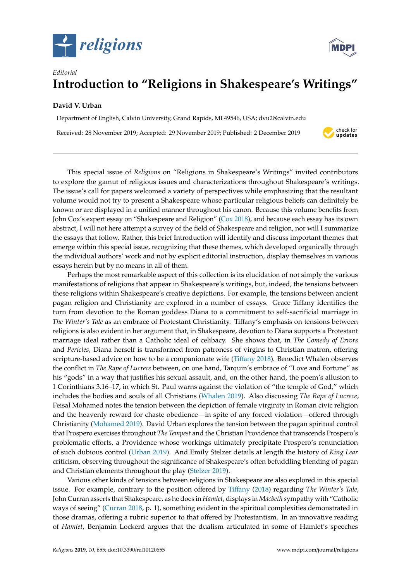



## *Editorial* **Introduction to "Religions in Shakespeare's Writings"**

## **David V. Urban**

Department of English, Calvin University, Grand Rapids, MI 49546, USA; dvu2@calvin.edu Received: 28 November 2019; Accepted: 29 November 2019; Published: 2 December 2019



This special issue of *Religions* on "Religions in Shakespeare's Writings" invited contributors to explore the gamut of religious issues and characterizations throughout Shakespeare's writings. The issue's call for papers welcomed a variety of perspectives while emphasizing that the resultant volume would not try to present a Shakespeare whose particular religious beliefs can definitely be known or are displayed in a unified manner throughout his canon. Because this volume benefits from John Cox's expert essay on "Shakespeare and Religion" [\(Cox](#page-2-0) [2018\)](#page-2-0), and because each essay has its own abstract, I will not here attempt a survey of the field of Shakespeare and religion, nor will I summarize the essays that follow. Rather, this brief Introduction will identify and discuss important themes that emerge within this special issue, recognizing that these themes, which developed organically through the individual authors' work and not by explicit editorial instruction, display themselves in various essays herein but by no means in all of them.

Perhaps the most remarkable aspect of this collection is its elucidation of not simply the various manifestations of religions that appear in Shakespeare's writings, but, indeed, the tensions between these religions within Shakespeare's creative depictions. For example, the tensions between ancient pagan religion and Christianity are explored in a number of essays. Grace Tiffany identifies the turn from devotion to the Roman goddess Diana to a commitment to self-sacrificial marriage in *The Winter's Tale* as an embrace of Protestant Christianity. Tiffany's emphasis on tensions between religions is also evident in her argument that, in Shakespeare, devotion to Diana supports a Protestant marriage ideal rather than a Catholic ideal of celibacy. She shows that, in *The Comedy of Errors* and *Pericles*, Diana herself is transformed from patroness of virgins to Christian matron, offering scripture-based advice on how to be a companionate wife (Tiff[any](#page-3-0) [2018\)](#page-3-0). Benedict Whalen observes the conflict in *The Rape of Lucrece* between, on one hand, Tarquin's embrace of "Love and Fortune" as his "gods" in a way that justifies his sexual assault, and, on the other hand, the poem's allusion to 1 Corinthians 3.16–17, in which St. Paul warns against the violation of "the temple of God," which includes the bodies and souls of all Christians [\(Whalen](#page-3-1) [2019\)](#page-3-1). Also discussing *The Rape of Lucrece*, Feisal Mohamed notes the tension between the depiction of female virginity in Roman civic religion and the heavenly reward for chaste obedience—in spite of any forced violation—offered through Christianity [\(Mohamed](#page-3-2) [2019\)](#page-3-2). David Urban explores the tension between the pagan spiritual control that Prospero exercises throughout *The Tempest* and the Christian Providence that transcends Prospero's problematic efforts, a Providence whose workings ultimately precipitate Prospero's renunciation of such dubious control [\(Urban](#page-3-3) [2019\)](#page-3-3). And Emily Stelzer details at length the history of *King Lear* criticism, observing throughout the significance of Shakespeare's often befuddling blending of pagan and Christian elements throughout the play [\(Stelzer](#page-3-4) [2019\)](#page-3-4).

Various other kinds of tensions between religions in Shakespeare are also explored in this special issue. For example, contrary to the position offered by Tiff[any](#page-3-0) [\(2018\)](#page-3-0) regarding *The Winter's Tale*, John Curran asserts that Shakespeare, as he does in *Hamlet*, displays in *Macbeth* sympathy with "Catholic ways of seeing" [\(Curran](#page-3-5) [2018,](#page-3-5) p. 1), something evident in the spiritual complexities demonstrated in those dramas, offering a rubric superior to that offered by Protestantism. In an innovative reading of *Hamlet*, Benjamin Lockerd argues that the dualism articulated in some of Hamlet's speeches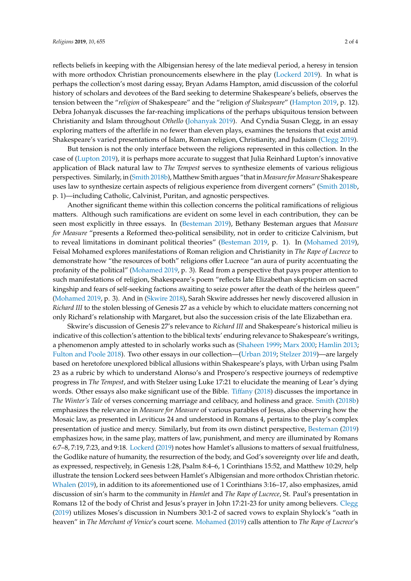reflects beliefs in keeping with the Albigensian heresy of the late medieval period, a heresy in tension with more orthodox Christian pronouncements elsewhere in the play [\(Lockerd](#page-3-6) [2019\)](#page-3-6). In what is perhaps the collection's most daring essay, Bryan Adams Hampton, amid discussion of the colorful history of scholars and devotees of the Bard seeking to determine Shakespeare's beliefs, observes the tension between the "*religion* of Shakespeare" and the "religion *of Shakespeare*" [\(Hampton](#page-3-7) [2019,](#page-3-7) p. 12). Debra Johanyak discusses the far-reaching implications of the perhaps ubiquitous tension between Christianity and Islam throughout *Othello* [\(Johanyak](#page-3-8) [2019\)](#page-3-8). And Cyndia Susan Clegg, in an essay exploring matters of the afterlife in no fewer than eleven plays, examines the tensions that exist amid Shakespeare's varied presentations of Islam, Roman religion, Christianity, and Judaism [\(Clegg](#page-2-1) [2019\)](#page-2-1).

But tension is not the only interface between the religions represented in this collection. In the case of [\(Lupton](#page-3-9) [2019\)](#page-3-9), it is perhaps more accurate to suggest that Julia Reinhard Lupton's innovative application of Black natural law to *The Tempest* serves to synthesize elements of various religious perspectives. Similarly, in [\(Smith](#page-3-10) [2018b\)](#page-3-10), Matthew Smith argues "that in*Measure forMeasure* Shakespeare uses law to synthesize certain aspects of religious experience from divergent corners" [\(Smith](#page-3-10) [2018b,](#page-3-10) p. 1)—including Catholic, Calvinist, Puritan, and agnostic perspectives.

Another significant theme within this collection concerns the political ramifications of religious matters. Although such ramifications are evident on some level in each contribution, they can be seen most explicitly in three essays. In [\(Besteman](#page-2-2) [2019\)](#page-2-2), Bethany Besteman argues that *Measure for Measure* "presents a Reformed theo-political sensibility, not in order to criticize Calvinism, but to reveal limitations in dominant political theories" [\(Besteman](#page-2-2) [2019,](#page-2-2) p. 1). In [\(Mohamed](#page-3-2) [2019\)](#page-3-2), Feisal Mohamed explores manifestations of Roman religion and Christianity in *The Rape of Lucrece* to demonstrate how "the resources of both" religions offer Lucrece "an aura of purity accentuating the profanity of the political" [\(Mohamed](#page-3-2) [2019,](#page-3-2) p. 3). Read from a perspective that pays proper attention to such manifestations of religion, Shakespeare's poem "reflects late Elizabethan skepticism on sacred kingship and fears of self-seeking factions awaiting to seize power after the death of the heirless queen" [\(Mohamed](#page-3-2) [2019,](#page-3-2) p. 3). And in [\(Skwire](#page-3-11) [2018\)](#page-3-11), Sarah Skwire addresses her newly discovered allusion in *Richard III* to the stolen blessing of Genesis 27 as a vehicle by which to elucidate matters concerning not only Richard's relationship with Margaret, but also the succession crisis of the late Elizabethan era.

Skwire's discussion of Genesis 27's relevance to *Richard III* and Shakespeare's historical milieu is indicative of this collection's attention to the biblical texts' enduring relevance to Shakespeare's writings, a phenomenon amply attested to in scholarly works such as [\(Shaheen](#page-3-12) [1999;](#page-3-12) [Marx](#page-3-13) [2000;](#page-3-13) [Hamlin](#page-3-14) [2013;](#page-3-14) [Fulton and Poole](#page-3-15) [2018\)](#page-3-15). Two other essays in our collection—[\(Urban](#page-3-3) [2019;](#page-3-3) [Stelzer](#page-3-4) [2019\)](#page-3-4)—are largely based on heretofore unexplored biblical allusions within Shakespeare's plays, with Urban using Psalm 23 as a rubric by which to understand Alonso's and Prospero's respective journeys of redemptive progress in *The Tempest*, and with Stelzer using Luke 17:21 to elucidate the meaning of Lear's dying words. Other essays also make significant use of the Bible. Tiff[any](#page-3-0) [\(2018\)](#page-3-0) discusses the importance in *The Winter's Tale* of verses concerning marriage and celibacy, and holiness and grace. [Smith](#page-3-10) [\(2018b\)](#page-3-10) emphasizes the relevance in *Measure for Measure* of various parables of Jesus, also observing how the Mosaic law, as presented in Leviticus 24 and understood in Romans 4, pertains to the play's complex presentation of justice and mercy. Similarly, but from its own distinct perspective, [Besteman](#page-2-2) [\(2019\)](#page-2-2) emphasizes how, in the same play, matters of law, punishment, and mercy are illuminated by Romans 6:7–8, 7:19, 7:23, and 9:18. [Lockerd](#page-3-6) [\(2019\)](#page-3-6) notes how Hamlet's allusions to matters of sexual fruitfulness, the Godlike nature of humanity, the resurrection of the body, and God's sovereignty over life and death, as expressed, respectively, in Genesis 1:28, Psalm 8:4–6, 1 Corinthians 15:52, and Matthew 10:29, help illustrate the tension Lockerd sees between Hamlet's Albigensian and more orthodox Christian rhetoric. [Whalen](#page-3-1) [\(2019\)](#page-3-1), in addition to its aforementioned use of 1 Corinthians 3:16–17, also emphasizes, amid discussion of sin's harm to the community in *Hamlet* and *The Rape of Lucrece*, St. Paul's presentation in Romans 12 of the body of Christ and Jesus's prayer in John 17:21-23 for unity among believers. [Clegg](#page-2-1) [\(2019\)](#page-2-1) utilizes Moses's discussion in Numbers 30:1-2 of sacred vows to explain Shylock's "oath in heaven" in *The Merchant of Venice*'s court scene. [Mohamed](#page-3-2) [\(2019\)](#page-3-2) calls attention to *The Rape of Lucrece*'s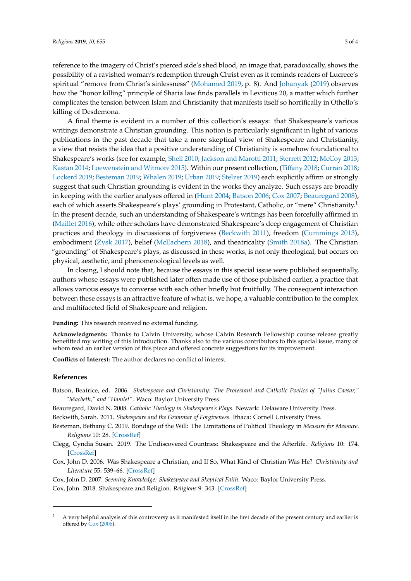reference to the imagery of Christ's pierced side's shed blood, an image that, paradoxically, shows the possibility of a ravished woman's redemption through Christ even as it reminds readers of Lucrece's spiritual "remove from Christ's sinlessness" [\(Mohamed](#page-3-2) [2019,](#page-3-2) p. 8). And [Johanyak](#page-3-8) [\(2019\)](#page-3-8) observes how the "honor killing" principle of Sharia law finds parallels in Leviticus 20, a matter which further complicates the tension between Islam and Christianity that manifests itself so horrifically in Othello's killing of Desdemona.

A final theme is evident in a number of this collection's essays: that Shakespeare's various writings demonstrate a Christian grounding. This notion is particularly significant in light of various publications in the past decade that take a more skeptical view of Shakespeare and Christianity, a view that resists the idea that a positive understanding of Christianity is somehow foundational to Shakespeare's works (see for example, [Shell](#page-3-16) [2010;](#page-3-16) [Jackson and Marotti](#page-3-17) [2011;](#page-3-17) [Sterrett](#page-3-18) [2012;](#page-3-18) [McCoy](#page-3-19) [2013;](#page-3-19) [Kastan](#page-3-20) [2014;](#page-3-20) [Loewenstein and Witmore](#page-3-21) [2015\)](#page-3-21). Within our present collection, (Tiff[any](#page-3-0) [2018;](#page-3-0) [Curran](#page-3-5) [2018;](#page-3-5) [Lockerd](#page-3-6) [2019;](#page-3-6) [Besteman](#page-2-2) [2019;](#page-2-2) [Whalen](#page-3-1) [2019;](#page-3-1) [Urban](#page-3-3) [2019;](#page-3-3) [Stelzer](#page-3-4) [2019\)](#page-3-4) each explicitly affirm or strongly suggest that such Christian grounding is evident in the works they analyze. Such essays are broadly in keeping with the earlier analyses offered in [\(Hunt](#page-3-22) [2004;](#page-3-22) [Batson](#page-2-3) [2006;](#page-2-3) [Cox](#page-2-4) [2007;](#page-2-4) [Beauregard](#page-2-5) [2008\)](#page-2-5), each of which asserts Shakespeare's plays' grounding in Protestant, Catholic, or "mere" Christianity.<sup>1</sup> In the present decade, such an understanding of Shakespeare's writings has been forcefully affirmed in [\(Maillet](#page-3-23) [2016\)](#page-3-23), while other scholars have demonstrated Shakespeare's deep engagement of Christian practices and theology in discussions of forgiveness [\(Beckwith](#page-2-6) [2011\)](#page-2-6), freedom [\(Cummings](#page-3-24) [2013\)](#page-3-24), embodiment [\(Zysk](#page-3-25) [2017\)](#page-3-25), belief [\(McEachern](#page-3-26) [2018\)](#page-3-26), and theatricality [\(Smith](#page-3-27) [2018a\)](#page-3-27). The Christian "grounding" of Shakespeare's plays, as discussed in these works, is not only theological, but occurs on physical, aesthetic, and phenomenological levels as well.

In closing, I should note that, because the essays in this special issue were published sequentially, authors whose essays were published later often made use of those published earlier, a practice that allows various essays to converse with each other briefly but fruitfully. The consequent interaction between these essays is an attractive feature of what is, we hope, a valuable contribution to the complex and multifaceted field of Shakespeare and religion.

**Funding:** This research received no external funding.

**Acknowledgments:** Thanks to Calvin University, whose Calvin Research Fellowship course release greatly benefitted my writing of this Introduction. Thanks also to the various contributors to this special issue, many of whom read an earlier version of this piece and offered concrete suggestions for its improvement.

**Conflicts of Interest:** The author declares no conflict of interest.

## **References**

<span id="page-2-3"></span>Batson, Beatrice, ed. 2006. *Shakespeare and Christianity: The Protestant and Catholic Poetics of "Julius Caesar," "Macbeth," and "Hamlet"*. Waco: Baylor University Press.

<span id="page-2-5"></span>Beauregard, David N. 2008. *Catholic Theology in Shakespeare's Plays*. Newark: Delaware University Press.

<span id="page-2-6"></span>Beckwith, Sarah. 2011. *Shakespeare and the Grammar of Forgiveness*. Ithaca: Cornell University Press.

<span id="page-2-2"></span>Besteman, Bethany C. 2019. Bondage of the Will: The Limitations of Political Theology in *Measure for Measure*. *Religions* 10: 28. [\[CrossRef\]](http://dx.doi.org/10.3390/rel10010028)

<span id="page-2-1"></span>Clegg, Cyndia Susan. 2019. The Undiscovered Countries: Shakespeare and the Afterlife. *Religions* 10: 174. [\[CrossRef\]](http://dx.doi.org/10.3390/rel10030174)

<span id="page-2-7"></span>Cox, John D. 2006. Was Shakespeare a Christian, and If So, What Kind of Christian Was He? *Christianity and Literature* 55: 539–66. [\[CrossRef\]](http://dx.doi.org/10.1177/014833310605500408)

<span id="page-2-4"></span><span id="page-2-0"></span>Cox, John D. 2007. *Seeming Knowledge: Shakespeare and Skeptical Faith*. Waco: Baylor University Press. Cox, John. 2018. Shakespeare and Religion. *Religions* 9: 343. [\[CrossRef\]](http://dx.doi.org/10.3390/rel9110343)

 $1$  A very helpful analysis of this controversy as it manifested itself in the first decade of the present century and earlier is offered by [Cox](#page-2-7) [\(2006\)](#page-2-7).